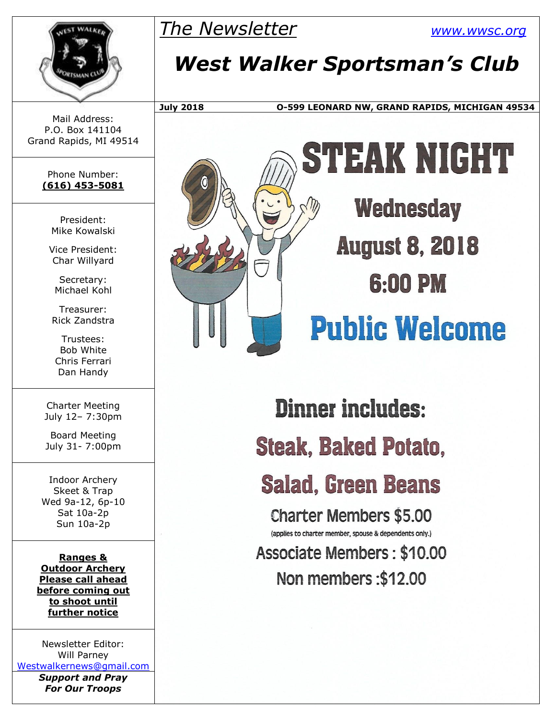

*The Newsletter [www.wwsc.org](http://www.wwsc.org/)*

# *West Walker Sportsman's Club*

**July 2018 O-599 LEONARD NW, GRAND RAPIDS, MICHIGAN 49534**

Mail Address: P.O. Box 141104 Grand Rapids, MI 49514

> Phone Number: **(616) 453-5081**

> > President: Mike Kowalski

Vice President: Char Willyard

Secretary: Michael Kohl

Treasurer: Rick Zandstra

Trustees: Bob White Chris Ferrari Dan Handy

Charter Meeting July 12– 7:30pm

Board Meeting July 31- 7:00pm

Indoor Archery Skeet & Trap Wed 9a-12, 6p-10 Sat 10a-2p Sun 10a-2p

**Ranges & Outdoor Archery Please call ahead before coming out to shoot until further notice**

Newsletter Editor: Will Parney [Westwalkernews@gmail.com](mailto:Westwalkernews@gmail.com)

*Support and Pray For Our Troops*



# STEWK NICHT

**Wednesday August 8, 2018** 6:00 PM

# **Public Welcome**

**Dinner includes: Steak, Baked Potato,** 

**Salad, Green Beans** 

**Charter Members \$5.00** (applies to charter member, spouse & dependents only.) **Associate Members: \$10.00** 

Non members: \$12.00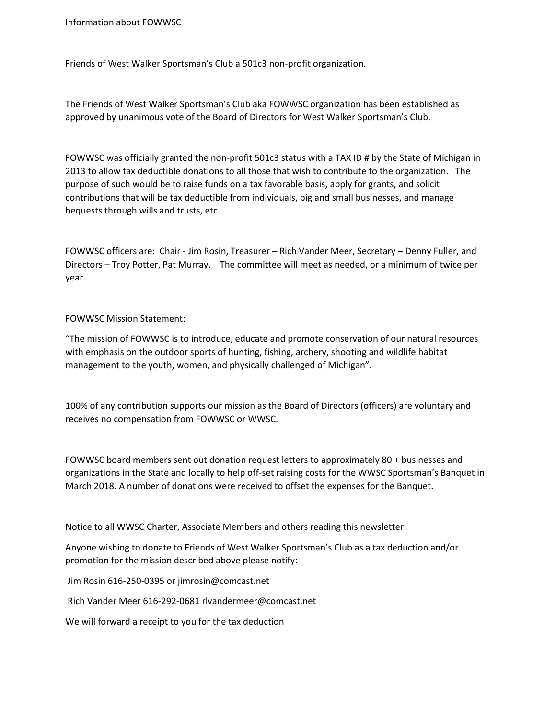Information about FOWWSC

Friends of West Walker Sportsman's Club a 501c3 non-profit organization.

The Friends of West Walker Sportsman's Club aka FOWWSC organization has been established as approved by unanimous vote of the Board of Directors for West Walker Sportsman's Club.

FOWWSC was officially granted the non-profit 501c3 status with a TAX ID # by the State of Michigan in 2013 to allow tax deductible donations to all those that wish to contribute to the organization. The purpose of such would be to raise funds on a tax favorable basis, apply for grants, and solicit contributions that will be tax deductible from individuals, big and small businesses, and manage bequests through wills and trusts, etc.

FOWWSC officers are: Chair - Jim Rosin, Treasurer – Rich Vander Meer, Secretary – Denny Fuller, and Directors – Troy Potter, Pat Murray. The committee will meet as needed, or a minimum of twice per year.

#### FOWWSC Mission Statement:

"The mission of FOWWSC is to introduce, educate and promote conservation of our natural resources with emphasis on the outdoor sports of hunting, fishing, archery, shooting and wildlife habitat management to the youth, women, and physically challenged of Michigan".

100% of any contribution supports our mission as the Board of Directors (officers) are voluntary and receives no compensation from FOWWSC or WWSC.

FOWWSC board members sent out donation request letters to approximately 80 + businesses and organizations in the State and locally to help off-set raising costs for the WWSC Sportsman's Banquet in March 2018. A number of donations were received to offset the expenses for the Banquet.

Notice to all WWSC Charter, Associate Members and others reading this newsletter:

Anyone wishing to donate to Friends of West Walker Sportsman's Club as a tax deduction and/or promotion for the mission described above please notify:

Jim Rosin 616-250-0395 or jimrosin@comcast.net

Rich Vander Meer 616-292-0681 rlvandermeer@comcast.net

We will forward a receipt to you for the tax deduction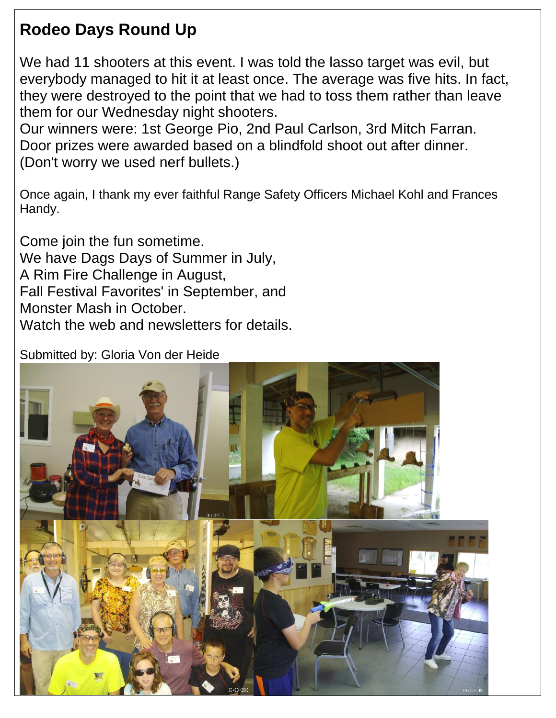### **Rodeo Days Round Up**

We had 11 shooters at this event. I was told the lasso target was evil, but everybody managed to hit it at least once. The average was five hits. In fact, they were destroyed to the point that we had to toss them rather than leave them for our Wednesday night shooters.

Our winners were: 1st George Pio, 2nd Paul Carlson, 3rd Mitch Farran. Door prizes were awarded based on a blindfold shoot out after dinner. (Don't worry we used nerf bullets.)

Once again, I thank my ever faithful Range Safety Officers Michael Kohl and Frances Handy.

Come join the fun sometime. We have Dags Days of Summer in July, A Rim Fire Challenge in August, Fall Festival Favorites' in September, and Monster Mash in October. Watch the web and newsletters for details.

Submitted by: Gloria Von der Heide

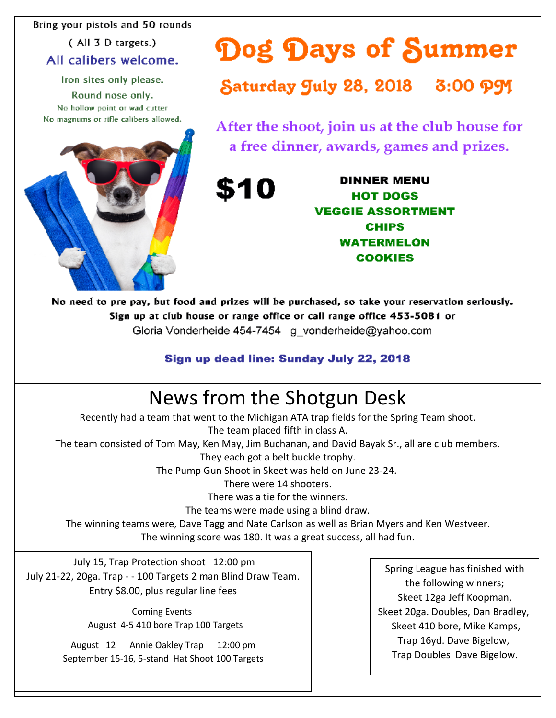Bring your pistols and 50 rounds

(All 3 D targets.) All calibers welcome.

Iron sites only please.

Round nose only. No hollow point or wad cutter No magnums or rifle calibers allowed.



Dog Days of Summer

Saturday July 28, 2018 3:00 PJ

After the shoot, join us at the club house for a free dinner, awards, games and prizes.

> **DINNER MENU HOT DOGS VEGGIE ASSORTMENT CHIPS WATERMELON COOKIES**

No need to pre pay, but food and prizes will be purchased, so take your reservation seriously. Sign up at club house or range office or call range office 453-5081 or Gloria Vonderheide 454-7454 g vonderheide@yahoo.com

\$10

#### Sign up dead line: Sunday July 22, 2018

## News from the Shotgun Desk

Recently had a team that went to the Michigan ATA trap fields for the Spring Team shoot. The team placed fifth in class A. The team consisted of Tom May, Ken May, Jim Buchanan, and David Bayak Sr., all are club members. They each got a belt buckle trophy. The Pump Gun Shoot in Skeet was held on June 23-24. There were 14 shooters. There was a tie for the winners. The teams were made using a blind draw. The winning teams were, Dave Tagg and Nate Carlson as well as Brian Myers and Ken Westveer. The winning score was 180. It was a great success, all had fun.

July 15, Trap Protection shoot 12:00 pm July 21-22, 20ga. Trap - - 100 Targets 2 man Blind Draw Team. Entry \$8.00, plus regular line fees

> Coming Events August 4-5 410 bore Trap 100 Targets

August 12 Annie Oakley Trap 12:00 pm September 15-16, 5-stand Hat Shoot 100 Targets

Spring League has finished with the following winners; Skeet 12ga Jeff Koopman, Skeet 20ga. Doubles, Dan Bradley, Skeet 410 bore, Mike Kamps, Trap 16yd. Dave Bigelow, Trap Doubles Dave Bigelow.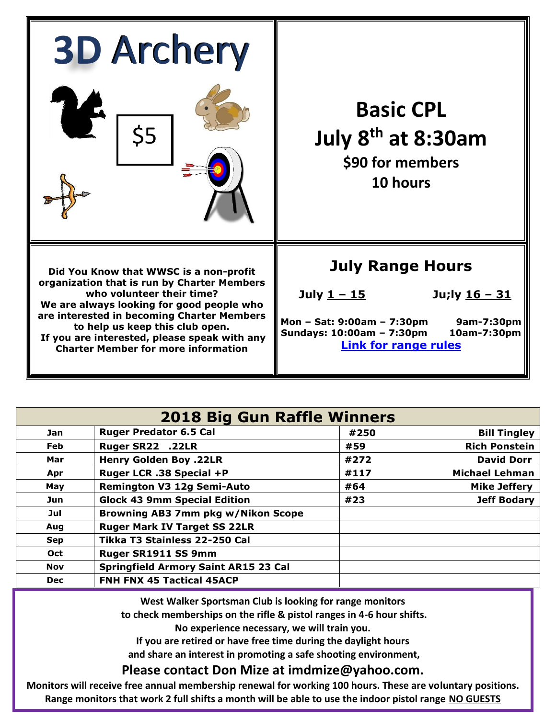| <b>3D Archery</b>                                                                                                                                                                                                                                                                                                                              |                                                                                                                                                                                       |  |  |
|------------------------------------------------------------------------------------------------------------------------------------------------------------------------------------------------------------------------------------------------------------------------------------------------------------------------------------------------|---------------------------------------------------------------------------------------------------------------------------------------------------------------------------------------|--|--|
| \$5                                                                                                                                                                                                                                                                                                                                            | <b>Basic CPL</b><br>July 8 <sup>th</sup> at 8:30am<br>\$90 for members<br>10 hours                                                                                                    |  |  |
| Did You Know that WWSC is a non-profit<br>organization that is run by Charter Members<br>who volunteer their time?<br>We are always looking for good people who<br>are interested in becoming Charter Members<br>to help us keep this club open.<br>If you are interested, please speak with any<br><b>Charter Member for more information</b> | <b>July Range Hours</b><br>July <u>1 - 15</u><br>Ju;ly 16 - 31<br>Mon - Sat: 9:00am - 7:30pm<br>9am-7:30pm<br>Sundays: 10:00am - 7:30pm<br>10am-7:30pm<br><b>Link for range rules</b> |  |  |

| <b>2018 Big Gun Raffle Winners</b> |                                             |      |                       |  |  |  |
|------------------------------------|---------------------------------------------|------|-----------------------|--|--|--|
| Jan                                | <b>Ruger Predator 6.5 Cal</b>               | #250 | <b>Bill Tingley</b>   |  |  |  |
| <b>Feb</b>                         | Ruger SR22 .22LR                            | #59  | <b>Rich Ponstein</b>  |  |  |  |
| Mar                                | <b>Henry Golden Boy .22LR</b>               | #272 | <b>David Dorr</b>     |  |  |  |
| Apr                                | Ruger LCR .38 Special +P                    | #117 | <b>Michael Lehman</b> |  |  |  |
| May                                | <b>Remington V3 12g Semi-Auto</b>           | #64  | <b>Mike Jeffery</b>   |  |  |  |
| Jun                                | <b>Glock 43 9mm Special Edition</b>         | #23  | <b>Jeff Bodary</b>    |  |  |  |
| Jul                                | Browning AB3 7mm pkg w/Nikon Scope          |      |                       |  |  |  |
| Aug                                | <b>Ruger Mark IV Target SS 22LR</b>         |      |                       |  |  |  |
| <b>Sep</b>                         | Tikka T3 Stainless 22-250 Cal               |      |                       |  |  |  |
| <b>Oct</b>                         | Ruger SR1911 SS 9mm                         |      |                       |  |  |  |
| <b>Nov</b>                         | <b>Springfield Armory Saint AR15 23 Cal</b> |      |                       |  |  |  |
| <b>Dec</b>                         | <b>FNH FNX 45 Tactical 45ACP</b>            |      |                       |  |  |  |

**West Walker Sportsman Club is looking for range monitors**

**to check memberships on the rifle & pistol ranges in 4-6 hour shifts.** 

**No experience necessary, we will train you.** 

**If you are retired or have free time during the daylight hours**

**and share an interest in promoting a safe shooting environment,**

**Please contact Don Mize at imdmize@yahoo.com.**

**Monitors will receive free annual membership renewal for working 100 hours. These are voluntary positions. Range monitors that work 2 full shifts a month will be able to use the indoor pistol range NO GUESTS**